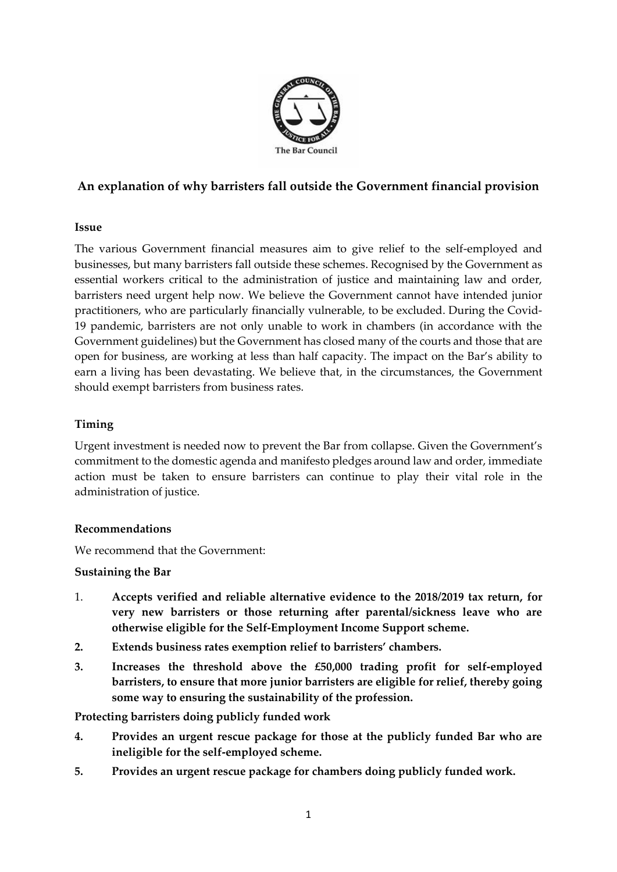

# **An explanation of why barristers fall outside the Government financial provision**

### **Issue**

The various Government financial measures aim to give relief to the self-employed and businesses, but many barristers fall outside these schemes. Recognised by the Government as essential workers critical to the administration of justice and maintaining law and order, barristers need urgent help now. We believe the Government cannot have intended junior practitioners, who are particularly financially vulnerable, to be excluded. During the Covid-19 pandemic, barristers are not only unable to work in chambers (in accordance with the Government guidelines) but the Government has closed many of the courts and those that are open for business, are working at less than half capacity. The impact on the Bar's ability to earn a living has been devastating. We believe that, in the circumstances, the Government should exempt barristers from business rates.

### **Timing**

Urgent investment is needed now to prevent the Bar from collapse. Given the Government's commitment to the domestic agenda and manifesto pledges around law and order, immediate action must be taken to ensure barristers can continue to play their vital role in the administration of justice.

#### **Recommendations**

We recommend that the Government:

#### **Sustaining the Bar**

- 1. **Accepts verified and reliable alternative evidence to the 2018/2019 tax return, for very new barristers or those returning after parental/sickness leave who are otherwise eligible for the Self-Employment Income Support scheme.**
- **2. Extends business rates exemption relief to barristers' chambers.**
- **3. Increases the threshold above the £50,000 trading profit for self-employed barristers, to ensure that more junior barristers are eligible for relief, thereby going some way to ensuring the sustainability of the profession.**

**Protecting barristers doing publicly funded work**

- **4. Provides an urgent rescue package for those at the publicly funded Bar who are ineligible for the self-employed scheme.**
- **5. Provides an urgent rescue package for chambers doing publicly funded work.**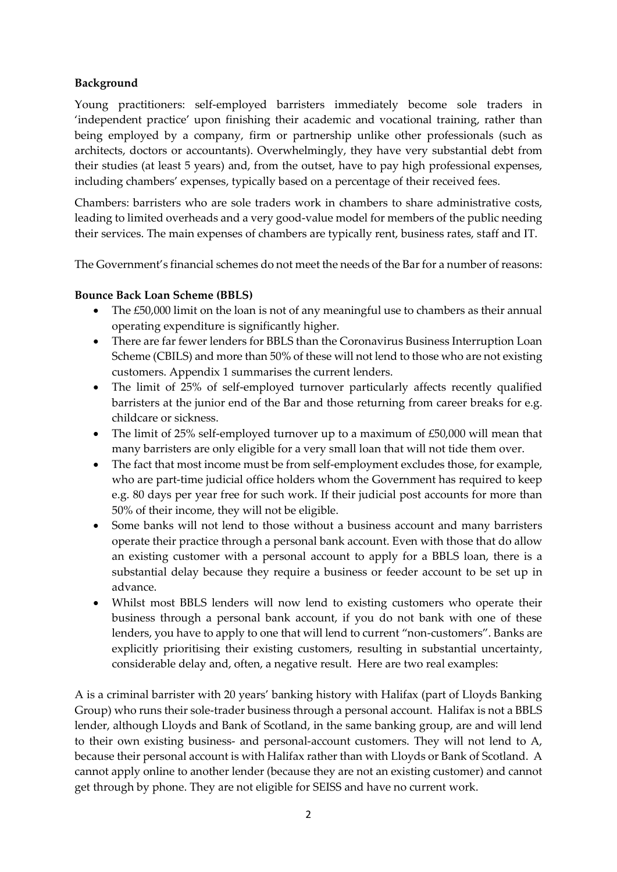## **Background**

Young practitioners: self-employed barristers immediately become sole traders in 'independent practice' upon finishing their academic and vocational training, rather than being employed by a company, firm or partnership unlike other professionals (such as architects, doctors or accountants). Overwhelmingly, they have very substantial debt from their studies (at least 5 years) and, from the outset, have to pay high professional expenses, including chambers' expenses, typically based on a percentage of their received fees.

Chambers: barristers who are sole traders work in chambers to share administrative costs, leading to limited overheads and a very good-value model for members of the public needing their services. The main expenses of chambers are typically rent, business rates, staff and IT.

The Government's financial schemes do not meet the needs of the Bar for a number of reasons:

### **Bounce Back Loan Scheme (BBLS)**

- The £50,000 limit on the loan is not of any meaningful use to chambers as their annual operating expenditure is significantly higher.
- There are far fewer lenders for BBLS than the Coronavirus Business Interruption Loan Scheme (CBILS) and more than 50% of these will not lend to those who are not existing customers. Appendix 1 summarises the current lenders.
- The limit of 25% of self-employed turnover particularly affects recently qualified barristers at the junior end of the Bar and those returning from career breaks for e.g. childcare or sickness.
- The limit of 25% self-employed turnover up to a maximum of £50,000 will mean that many barristers are only eligible for a very small loan that will not tide them over.
- The fact that most income must be from self-employment excludes those, for example, who are part-time judicial office holders whom the Government has required to keep e.g. 80 days per year free for such work. If their judicial post accounts for more than 50% of their income, they will not be eligible.
- Some banks will not lend to those without a business account and many barristers operate their practice through a personal bank account. Even with those that do allow an existing customer with a personal account to apply for a BBLS loan, there is a substantial delay because they require a business or feeder account to be set up in advance.
- Whilst most BBLS lenders will now lend to existing customers who operate their business through a personal bank account, if you do not bank with one of these lenders, you have to apply to one that will lend to current "non-customers". Banks are explicitly prioritising their existing customers, resulting in substantial uncertainty, considerable delay and, often, a negative result. Here are two real examples:

A is a criminal barrister with 20 years' banking history with Halifax (part of Lloyds Banking Group) who runs their sole-trader business through a personal account. Halifax is not a BBLS lender, although Lloyds and Bank of Scotland, in the same banking group, are and will lend to their own existing business- and personal-account customers. They will not lend to A, because their personal account is with Halifax rather than with Lloyds or Bank of Scotland. A cannot apply online to another lender (because they are not an existing customer) and cannot get through by phone. They are not eligible for SEISS and have no current work.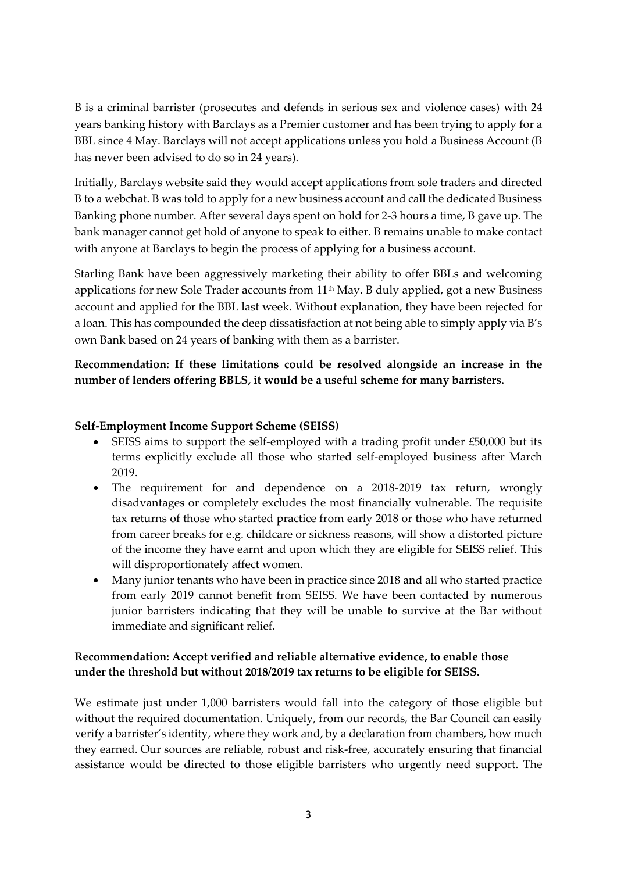B is a criminal barrister (prosecutes and defends in serious sex and violence cases) with 24 years banking history with Barclays as a Premier customer and has been trying to apply for a BBL since 4 May. Barclays will not accept applications unless you hold a Business Account (B has never been advised to do so in 24 years).

Initially, Barclays website said they would accept applications from sole traders and directed B to a webchat. B was told to apply for a new business account and call the dedicated Business Banking phone number. After several days spent on hold for 2-3 hours a time, B gave up. The bank manager cannot get hold of anyone to speak to either. B remains unable to make contact with anyone at Barclays to begin the process of applying for a business account.

Starling Bank have been aggressively marketing their ability to offer BBLs and welcoming applications for new Sole Trader accounts from 11th May. B duly applied, got a new Business account and applied for the BBL last week. Without explanation, they have been rejected for a loan. This has compounded the deep dissatisfaction at not being able to simply apply via B's own Bank based on 24 years of banking with them as a barrister.

**Recommendation: If these limitations could be resolved alongside an increase in the number of lenders offering BBLS, it would be a useful scheme for many barristers.**

### **Self-Employment Income Support Scheme (SEISS)**

- SEISS aims to support the self-employed with a trading profit under £50,000 but its terms explicitly exclude all those who started self-employed business after March 2019.
- The requirement for and dependence on a 2018-2019 tax return, wrongly disadvantages or completely excludes the most financially vulnerable. The requisite tax returns of those who started practice from early 2018 or those who have returned from career breaks for e.g. childcare or sickness reasons, will show a distorted picture of the income they have earnt and upon which they are eligible for SEISS relief. This will disproportionately affect women.
- Many junior tenants who have been in practice since 2018 and all who started practice from early 2019 cannot benefit from SEISS. We have been contacted by numerous junior barristers indicating that they will be unable to survive at the Bar without immediate and significant relief.

## **Recommendation: Accept verified and reliable alternative evidence, to enable those under the threshold but without 2018/2019 tax returns to be eligible for SEISS.**

We estimate just under 1,000 barristers would fall into the category of those eligible but without the required documentation. Uniquely, from our records, the Bar Council can easily verify a barrister's identity, where they work and, by a declaration from chambers, how much they earned. Our sources are reliable, robust and risk-free, accurately ensuring that financial assistance would be directed to those eligible barristers who urgently need support. The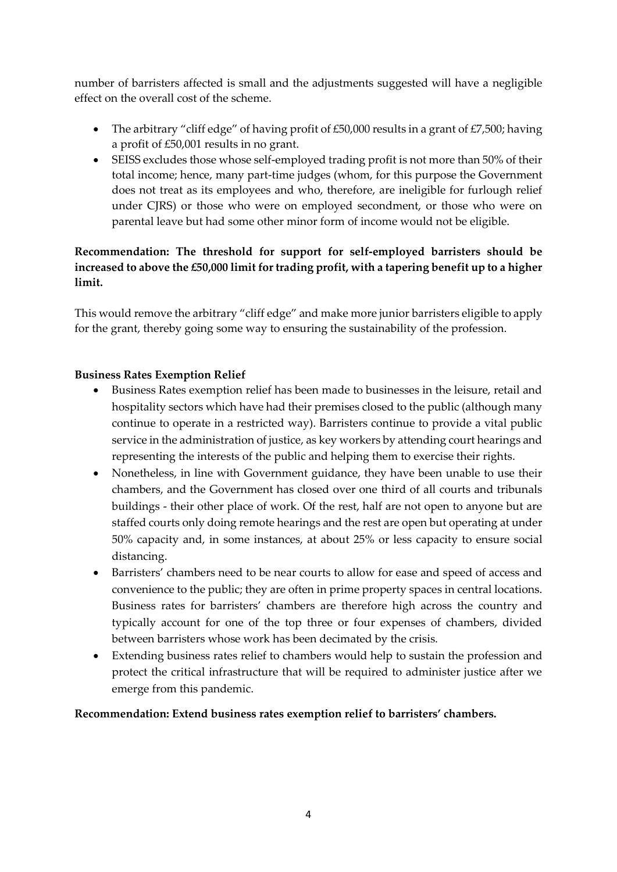number of barristers affected is small and the adjustments suggested will have a negligible effect on the overall cost of the scheme.

- The arbitrary "cliff edge" of having profit of £50,000 results in a grant of £7,500; having a profit of £50,001 results in no grant.
- SEISS excludes those whose self-employed trading profit is not more than 50% of their total income; hence, many part-time judges (whom, for this purpose the Government does not treat as its employees and who, therefore, are ineligible for furlough relief under CJRS) or those who were on employed secondment, or those who were on parental leave but had some other minor form of income would not be eligible.

## **Recommendation: The threshold for support for self-employed barristers should be increased to above the £50,000 limit for trading profit, with a tapering benefit up to a higher limit.**

This would remove the arbitrary "cliff edge" and make more junior barristers eligible to apply for the grant, thereby going some way to ensuring the sustainability of the profession.

### **Business Rates Exemption Relief**

- Business Rates exemption relief has been made to businesses in the leisure, retail and hospitality sectors which have had their premises closed to the public (although many continue to operate in a restricted way). Barristers continue to provide a vital public service in the administration of justice, as key workers by attending court hearings and representing the interests of the public and helping them to exercise their rights.
- Nonetheless, in line with Government guidance, they have been unable to use their chambers, and the Government has closed over one third of all courts and tribunals buildings - their other place of work. Of the rest, half are not open to anyone but are staffed courts only doing remote hearings and the rest are open but operating at under 50% capacity and, in some instances, at about 25% or less capacity to ensure social distancing.
- Barristers' chambers need to be near courts to allow for ease and speed of access and convenience to the public; they are often in prime property spaces in central locations. Business rates for barristers' chambers are therefore high across the country and typically account for one of the top three or four expenses of chambers, divided between barristers whose work has been decimated by the crisis.
- Extending business rates relief to chambers would help to sustain the profession and protect the critical infrastructure that will be required to administer justice after we emerge from this pandemic.

### **Recommendation: Extend business rates exemption relief to barristers' chambers.**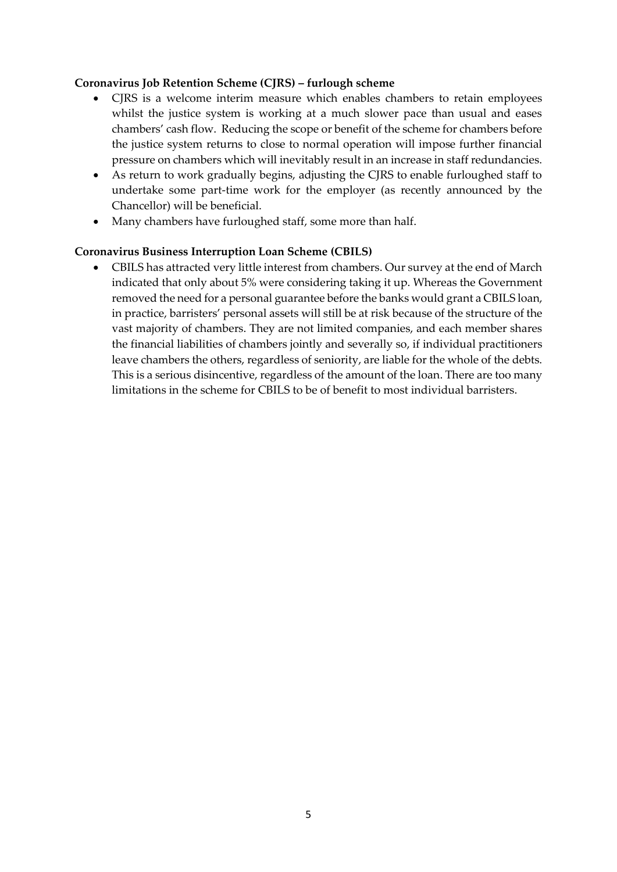#### **Coronavirus Job Retention Scheme (CJRS) – furlough scheme**

- CJRS is a welcome interim measure which enables chambers to retain employees whilst the justice system is working at a much slower pace than usual and eases chambers' cash flow. Reducing the scope or benefit of the scheme for chambers before the justice system returns to close to normal operation will impose further financial pressure on chambers which will inevitably result in an increase in staff redundancies.
- As return to work gradually begins, adjusting the CJRS to enable furloughed staff to undertake some part-time work for the employer (as recently announced by the Chancellor) will be beneficial.
- Many chambers have furloughed staff, some more than half.

#### **Coronavirus Business Interruption Loan Scheme (CBILS)**

• CBILS has attracted very little interest from chambers. Our survey at the end of March indicated that only about 5% were considering taking it up. Whereas the Government removed the need for a personal guarantee before the banks would grant a CBILS loan, in practice, barristers' personal assets will still be at risk because of the structure of the vast majority of chambers. They are not limited companies, and each member shares the financial liabilities of chambers jointly and severally so, if individual practitioners leave chambers the others, regardless of seniority, are liable for the whole of the debts. This is a serious disincentive, regardless of the amount of the loan. There are too many limitations in the scheme for CBILS to be of benefit to most individual barristers.